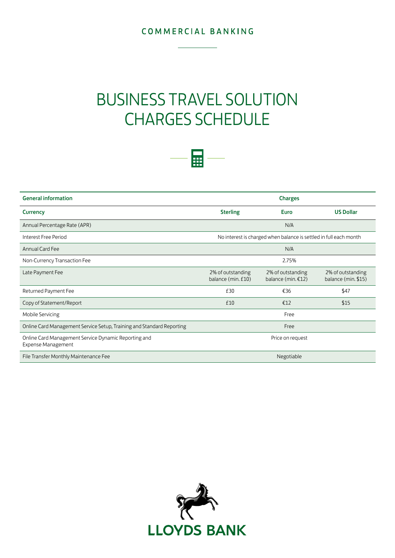## COMMERCIAL BANKING

# BUSINESS TRAVEL SOLUTION CHARGES SCHEDULE



| <b>General information</b>                                                        | <b>Charges</b>                                                    |                                         |                                          |
|-----------------------------------------------------------------------------------|-------------------------------------------------------------------|-----------------------------------------|------------------------------------------|
| <b>Currency</b>                                                                   | <b>Sterling</b>                                                   | Euro                                    | <b>US Dollar</b>                         |
| Annual Percentage Rate (APR)                                                      |                                                                   | N/A                                     |                                          |
| Interest Free Period                                                              | No interest is charged when balance is settled in full each month |                                         |                                          |
| Annual Card Fee                                                                   | N/A                                                               |                                         |                                          |
| Non-Currency Transaction Fee                                                      | 2.75%                                                             |                                         |                                          |
| Late Payment Fee                                                                  | 2% of outstanding<br>balance (min. £10)                           | 2% of outstanding<br>balance (min. €12) | 2% of outstanding<br>balance (min. \$15) |
| Returned Payment Fee                                                              | £30                                                               | €36                                     | \$47                                     |
| Copy of Statement/Report                                                          | £10                                                               | €12                                     | \$15                                     |
| Mobile Servicing                                                                  |                                                                   | Free                                    |                                          |
| Online Card Management Service Setup, Training and Standard Reporting             | Free                                                              |                                         |                                          |
| Online Card Management Service Dynamic Reporting and<br><b>Expense Management</b> | Price on request                                                  |                                         |                                          |
| File Transfer Monthly Maintenance Fee                                             | Negotiable                                                        |                                         |                                          |